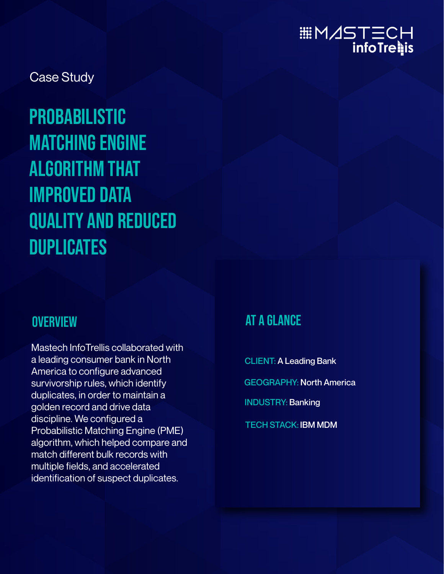# HDITINA:...<br>infoTre∎is

Case Study

## **PROBABILISTIC** Matching Engine algorithm that improved Data Quality and reduced **DUPLICATES**

#### **OVERVIEW**

Mastech InfoTrellis collaborated with a leading consumer bank in North America to configure advanced survivorship rules, which identify duplicates, in order to maintain a golden record and drive data discipline. We configured a Probabilistic Matching Engine (PME) algorithm, which helped compare and match different bulk records with multiple fields, and accelerated identification of suspect duplicates.

### At a Glance

CLIENT: A Leading Bank

GEOGRAPHY: North America

INDUSTRY: Banking

TECH STACK: IBM MDM